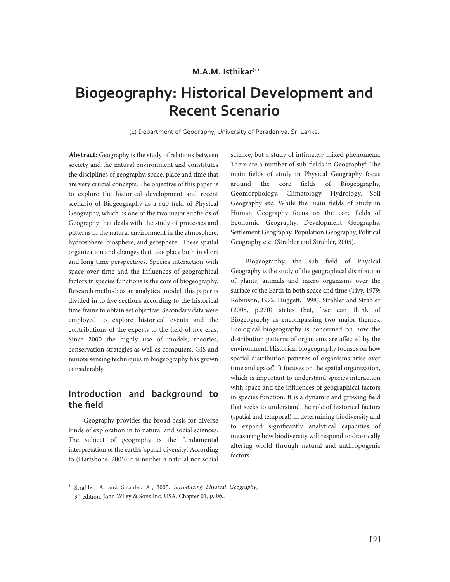# **Biogeography: Historical Development and Recent Scenario**

(1) Department of Geography, University of Peradeniya. Sri Lanka.

**Abstract:** Geography is the study of relations between society and the natural environment and constitutes the disciplines of geography, space, place and time that are very crucial concepts. The objective of this paper is to explore the historical development and recent scenario of Biogeography as a sub field of Physical Geography, which is one of the two major subfields of Geography that deals with the study of processes and patterns in the natural environment in the atmosphere, hydrosphere, biosphere, and geosphere. These spatial organization and changes that take place both in short and long time perspectives. Species interaction with space over time and the influences of geographical factors in species functions is the core of biogeography. Research method: as an analytical model, this paper is divided in to five sections according to the historical time frame to obtain set objective. Secondary data were employed to explore historical events and the contributions of the experts to the field of five eras**.** Since 2000 the highly use of models, theories, conservation strategies as well as computers, GIS and remote sensing techniques in biogeography has grown considerably.

### **Introduction and background to the field**

Geography provides the broad basis for diverse kinds of exploration in to natural and social sciences. The subject of geography is the fundamental interpretation of the earth's 'spatial diversity'. According to (Hartshone, 2005) it is neither a natural nor social

science, but a study of intimately mixed phenomena. There are a number of sub-fields in Geography<sup>1</sup>. The main fields of study in Physical Geography focus around the core fields of Biogeography, Geomorphology, Climatology, Hydrology, Soil Geography etc. While the main fields of study in Human Geography focus on the core fields of Economic Geography, Development Geography, Settlement Geography, Population Geography, Political Geography etc. (Strahler and Strahler, 2005).

Biogeography, the sub field of Physical Geography is the study of the geographical distribution of plants, animals and micro organisms over the surface of the Earth in both space and time (Tivy, 1979; Robinson, 1972; Huggett, 1998). Strahler and Strahler (2005, p.270) states that, "we can think of Biogeography as encompassing two major themes. Ecological biogeography is concerned on how the distribution patterns of organisms are affected by the environment. Historical biogeography focuses on how spatial distribution patterns of organisms arise over time and space". It focuses on the spatial organization, which is important to understand species interaction with space and the influences of geographical factors in species function. It is a dynamic and growing field that seeks to understand the role of historical factors (spatial and temporal) in determining biodiversity and to expand significantly analytical capacities of measuring how biodiversity will respond to drastically altering world through natural and anthropogenic factors.

<sup>1</sup> Strahler, A. and Strahler, A., 2005: *Introducing Physical Geography*, 3<sup>rd</sup> edition, John Wiley & Sons Inc. USA. Chapter 01, p. 06..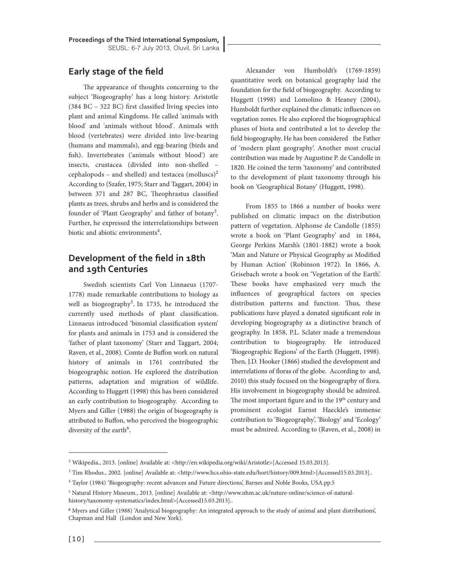### **Early stage of the field**

The appearance of thoughts concerning to the subject 'Biogeography' has a long history. Aristotle (384 BC – 322 BC) first classified living species into plant and animal Kingdoms. He called 'animals with blood' and 'animals without blood'. Animals with blood (vertebrates) were divided into live-bearing (humans and mammals), and egg-bearing (birds and fish). Invertebrates ('animals without blood') are insects, crustacea (divided into non-shelled – cephalopods – and shelled) and testacea (molluscs)<sup>2</sup> According to (Szafer, 1975; Starr and Taggart, 2004) in between 371 and 287 BC, Theophrastus classified plants as trees, shrubs and herbs and is considered the founder of 'Plant Geography' and father of botany<sup>3</sup>. Further, he expressed the interrelationships between biotic and abiotic environments<sup>4</sup>.

### **Development of the field in 18th and 19th Centuries**

Swedish scientists Carl Von Linnaeus (1707- 1778) made remarkable contributions to biology as well as biogeography<sup>5</sup>. In 1735, he introduced the currently used methods of plant classification. Linnaeus introduced 'binomial classification system' for plants and animals in 1753 and is considered the 'father of plant taxonomy' (Starr and Taggart, 2004; Raven, et al., 2008). Comte de Buffon work on natural history of animals in 1761 contributed the biogeographic notion. He explored the distribution patterns, adaptation and migration of wildlife. According to Huggett (1998) this has been considered an early contribution to biogeography. According to Myers and Giller (1988) the origin of biogeography is attributed to Buffon, who perceived the biogeographic diversity of the earth<sup>6</sup>.

Alexander von Humboldt's (1769-1859) quantitative work on botanical geography laid the foundation for the field of biogeography. According to Huggett (1998) and Lomolino & Heaney (2004), Humboldt further explained the climatic influences on vegetation zones. He also explored the biogeographical phases of biota and contributed a lot to develop the field biogeography. He has been considered the Father of 'modern plant geography'. Another most crucial contribution was made by Augustine P. de Candolle in 1820. He coined the term 'taxonomy' and contributed to the development of plant taxonomy through his book on 'Geographical Botany' (Huggett, 1998).

From 1855 to 1866 a number of books were published on climatic impact on the distribution pattern of vegetation. Alphonse de Candolle (1855) wrote a book on 'Plant Geography' and in 1864, George Perkins Marsh's (1801-1882) wrote a book 'Man and Nature or Physical Geography as Modified by Human Action' (Robinson 1972). In 1866, A. Grisebach wrote a book on 'Vegetation of the Earth'. These books have emphasized very much the influences of geographical factors on species distribution patterns and function. Thus, these publications have played a donated significant role in developing biogeography as a distinctive branch of geography. In 1858, P.L. Sclater made a tremendous contribution to biogeography. He introduced 'Biogeographic Regions' of the Earth (Huggett, 1998). Then, J.D. Hooker (1866) studied the development and interrelations of floras of the globe. According to and, 2010) this study focused on the biogeography of flora. His involvement in biogeography should be admired. The most important figure and in the 19<sup>th</sup> century and prominent ecologist Earnst Haeckle's immense contribution to 'Biogeography', 'Biology' and 'Ecology' must be admired. According to (Raven, et al., 2008) in

<sup>&</sup>lt;sup>2</sup> Wikipedia., 2013. [online] Available at: <http://en.wikipedia.org/wiki/Aristotle>[Accessed 15.03.2013].

<sup>&</sup>lt;sup>3</sup> Tim Rhodus., 2002. [online] Available at: <http://www.hcs.ohio-state.edu/hort/history/009.html>[Accessed15.03.2013]..

<sup>4</sup> Taylor (1984) 'Biogeography: recent advances and Future directions', Barnes and Noble Books, USA.pp.5

<sup>5</sup> Natural History Museum., 2013. [online] Available at: <http://www.nhm.ac.uk/nature-online/science-of-naturalhistory/taxonomy-systematics/index.html>[Accessed15.03.2013]..

**<sup>6</sup>** Myers and Giller (1988) 'Analytical biogeography: An integrated approach to the study of animal and plant distributions', Chapman and Hall (London and New York).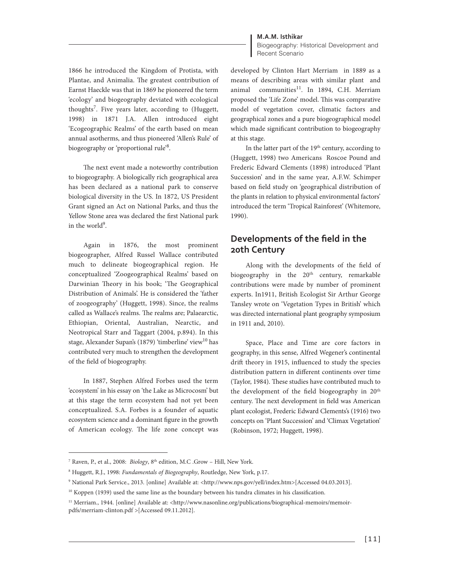**M.A.M. Isthikar**

1866 he introduced the Kingdom of Protista, with Plantae, and Animalia. The greatest contribution of Earnst Haeckle was that in 1869 he pioneered the term 'ecology' and biogeography deviated with ecological thoughts<sup>7</sup>. Five years later, according to (Huggett, 1998) in 1871 J.A. Allen introduced eight 'Ecogeographic Realms' of the earth based on mean annual asotherms, and thus pioneered 'Allen's Rule' of biogeography or 'proportional rule'<sup>8</sup>.

The next event made a noteworthy contribution to biogeography. A biologically rich geographical area has been declared as a national park to conserve biological diversity in the US. In 1872, US President Grant signed an Act on National Parks, and thus the Yellow Stone area was declared the first National park in the world<sup>9</sup>.

Again in 1876, the most prominent biogeographer, Alfred Russel Wallace contributed much to delineate biogeographical region. He conceptualized 'Zoogeographical Realms' based on Darwinian Theory in his book; 'The Geographical Distribution of Animals'. He is considered the 'father of zoogeography' (Huggett, 1998). Since, the realms called as Wallace's realms. The realms are; Palaearctic, Ethiopian, Oriental, Australian, Nearctic, and Neotropical Starr and Taggart (2004, p.894). In this stage, Alexander Supan's (1879) 'timberline' view<sup>10</sup> has contributed very much to strengthen the development of the field of biogeography.

In 1887, Stephen Alfred Forbes used the term 'ecosystem' in his essay on 'the Lake as Microcosm' but at this stage the term ecosystem had not yet been conceptualized. S.A. Forbes is a founder of aquatic ecosystem science and a dominant figure in the growth of American ecology. The life zone concept was

Biogeography: Historical Development and Recent Scenario

developed by Clinton Hart Merriam in 1889 as a means of describing areas with similar plant and animal communities<sup>11</sup>. In 1894, C.H. Merriam proposed the 'Life Zone' model. This was comparative model of vegetation cover, climatic factors and geographical zones and a pure biogeographical model which made significant contribution to biogeography at this stage.

In the latter part of the 19<sup>th</sup> century, according to (Huggett, 1998) two Americans Roscoe Pound and Frederic Edward Clements (1898) introduced 'Plant Succession' and in the same year, A.F.W. Schimper based on field study on 'geographical distribution of the plants in relation to physical environmental factors' introduced the term 'Tropical Rainforest' (Whitemore, 1990).

## **Developments of the field in the 20th Century**

Along with the developments of the field of biogeography in the 20<sup>th</sup> century, remarkable contributions were made by number of prominent experts. In1911, British Ecologist Sir Arthur George Tansley wrote on 'Vegetation Types in British' which was directed international plant geography symposium in 1911 and, 2010).

Space, Place and Time are core factors in geography, in this sense, Alfred Wegener's continental drift theory in 1915, influenced to study the species distribution pattern in different continents over time (Taylor, 1984). These studies have contributed much to the development of the field biogeography in 20<sup>th</sup> century. The next development in field was American plant ecologist, Frederic Edward Clements's (1916) two concepts on 'Plant Succession' and 'Climax Vegetation' (Robinson, 1972; Huggett, 1998).

<sup>&</sup>lt;sup>7</sup> Raven, P., et al., 2008: *Biology*, 8<sup>th</sup> edition, M.C .Grow - Hill, New York.

<sup>8</sup> Huggett, R.J., 1998: *Fundamentals of Biogeography*, Routledge, New York, p.17.

<sup>9</sup> National Park Service., 2013. [online] Available at: <http://www.nps.gov/yell/index.htm>[Accessed 04.03.2013].

<sup>&</sup>lt;sup>10</sup> Koppen (1939) used the same line as the boundary between his tundra climates in his classification.

<sup>&</sup>lt;sup>11</sup> Merriam., 1944. [online] Available at: <http://www.nasonline.org/publications/biographical-memoirs/memoirpdfs/merriam-clinton.pdf >[Accessed 09.11.2012].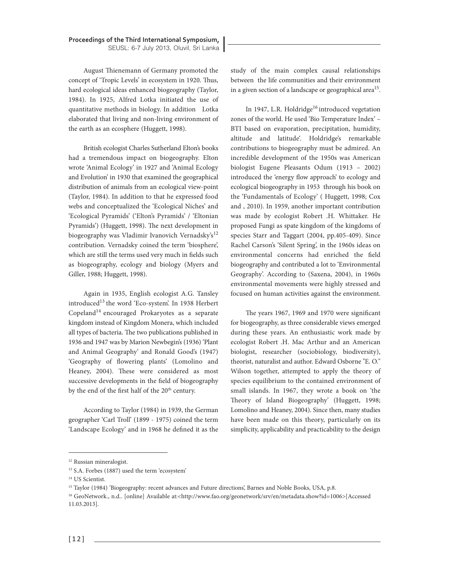August Thienemann of Germany promoted the concept of 'Tropic Levels' in ecosystem in 1920. Thus, hard ecological ideas enhanced biogeography (Taylor, 1984). In 1925, Alfred Lotka initiated the use of quantitative methods in biology. In addition Lotka elaborated that living and non-living environment of the earth as an ecosphere (Huggett, 1998).

British ecologist Charles Sutherland Elton's books had a tremendous impact on biogeography. Elton wrote 'Animal Ecology' in 1927 and 'Animal Ecology and Evolution' in 1930 that examined the geographical distribution of animals from an ecological view-point (Taylor, 1984). In addition to that he expressed food webs and conceptualized the 'Ecological Niches' and 'Ecological Pyramids' ('Elton's Pyramids' / 'Eltonian Pyramids') (Huggett, 1998). The next development in biogeography was Vladimir Ivanovich Vernadsky's<sup>12</sup> contribution. Vernadsky coined the term 'biosphere', which are still the terms used very much in fields such as biogeography, ecology and biology (Myers and Giller, 1988; Huggett, 1998).

Again in 1935, English ecologist A.G. Tansley introduced<sup>13</sup> the word 'Eco-system'. In 1938 Herbert Copeland<sup>14</sup> encouraged Prokaryotes as a separate kingdom instead of Kingdom Monera, which included all types of bacteria. The two publications published in 1936 and 1947 was by Marion Newbegin's (1936) 'Plant and Animal Geography' and Ronald Good's (1947) 'Geography of flowering plants' (Lomolino and Heaney, 2004). These were considered as most successive developments in the field of biogeography by the end of the first half of the 20<sup>th</sup> century.

According to Taylor (1984) in 1939, the German geographer 'Carl Troll' (1899 - 1975) coined the term 'Landscape Ecology' and in 1968 he defined it as the

study of the main complex causal relationships between the life communities and their environment in a given section of a landscape or geographical area<sup>15</sup>.

In 1947, L.R. Holdridge<sup>16</sup> introduced vegetation zones of the world. He used 'Bio Temperature Index' – BTI based on evaporation, precipitation, humidity, altitude and latitude'. Holdridge's remarkable contributions to biogeography must be admired. An incredible development of the 1950s was American biologist Eugene Pleasants Odum (1913 – 2002) introduced the 'energy flow approach' to ecology and ecological biogeography in 1953 through his book on the 'Fundamentals of Ecology' ( Huggett, 1998; Cox and , 2010). In 1959, another important contribution was made by ecologist Robert .H. Whittaker. He proposed Fungi as spate kingdom of the kingdoms of species Starr and Taggart (2004, pp.405-409). Since Rachel Carson's 'Silent Spring', in the 1960s ideas on environmental concerns had enriched the field biogeography and contributed a lot to 'Environmental Geography'. According to (Saxena, 2004), in 1960s environmental movements were highly stressed and focused on human activities against the environment.

The years 1967, 1969 and 1970 were significant for biogeography, as three considerable views emerged during these years. An enthusiastic work made by ecologist Robert .H. Mac Arthur and an American biologist, researcher (sociobiology, biodiversity), theorist, naturalist and author. Edward Osborne "E. O." Wilson together, attempted to apply the theory of species equilibrium to the contained environment of small islands. In 1967, they wrote a book on 'the Theory of Island Biogeography' (Huggett, 1998; Lomolino and Heaney, 2004). Since then, many studies have been made on this theory, particularly on its simplicity, applicability and practicability to the design

<sup>&</sup>lt;sup>12</sup> Russian mineralogist.

<sup>13</sup> S.A. Forbes (1887) used the term 'ecosystem'

<sup>14</sup> US Scientist.

<sup>&</sup>lt;sup>15</sup> Taylor (1984) 'Biogeography: recent advances and Future directions', Barnes and Noble Books, USA, p.8.

<sup>16</sup> GeoNetwork., n.d.. [online] Available at:<http://www.fao.org/geonetwork/srv/en/metadata.show?id=1006>[Accessed 11.03.2013].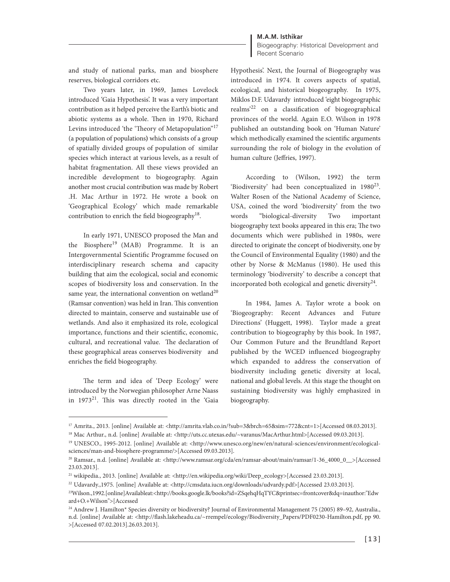#### **M.A.M. Isthikar**

Biogeography: Historical Development and Recent Scenario

and study of national parks, man and biosphere reserves, biological corridors etc.

Two years later, in 1969, James Lovelock introduced 'Gaia Hypothesis'. It was a very important contribution as it helped perceive the Earth's biotic and abiotic systems as a whole. Then in 1970, Richard Levins introduced 'the 'Theory of Metapopulation"<sup>17</sup> (a population of populations**)** which consists of a group of spatially divided groups of population of similar species which interact at various levels, as a result of habitat fragmentation. All these views provided an incredible development to biogeography. Again another most crucial contribution was made by Robert .H. Mac Arthur in 1972. He wrote a book on 'Geographical Ecology' which made remarkable contribution to enrich the field biogeography<sup>18</sup>.

In early 1971, UNESCO proposed the Man and the Biosphere<sup>19</sup> (MAB) Programme. It is an Intergovernmental Scientific Programme focused on interdisciplinary research schema and capacity building that aim the ecological, social and economic scopes of biodiversity loss and conservation. In the same year, the international convention on wetland<sup>20</sup> (Ramsar convention) was held in Iran. This convention directed to maintain, conserve and sustainable use of wetlands. And also it emphasized its role, ecological importance, functions and their scientific, economic, cultural, and recreational value. The declaration of these geographical areas conserves biodiversity and enriches the field biogeography.

The term and idea of 'Deep Ecology' were introduced by the Norwegian philosopher Arne Naass in 1973<sup>21</sup>. This was directly rooted in the 'Gaia Hypothesis'. Next, the Journal of Biogeography was introduced in 1974. It covers aspects of spatial, ecological, and historical biogeography. In 1975, Miklos D.F. Udavardy introduced 'eight biogeographic realms'<sup>22</sup> on a classification of biogeographical provinces of the world. Again E.O. Wilson in 1978 published an outstanding book on 'Human Nature' which methodically examined the scientific arguments surrounding the role of biology in the evolution of human culture (Jeffries, 1997).

According to (Wilson, 1992) the term 'Biodiversity' had been conceptualized in  $1980^{23}$ . Walter Rosen of the National Academy of Science, USA, coined the word 'biodiversity' from the two words "biological-diversity Two important biogeography text books appeared in this era; The two documents which were published in 1980s, were directed to originate the concept of biodiversity, one by the Council of Environmental Equality (1980) and the other by Norse & McManus (1980). He used this terminology 'biodiversity' to describe a concept that incorporated both ecological and genetic diversity<sup>24</sup>.

In 1984, James A. Taylor wrote a book on 'Biogeography: Recent Advances and Future Directions' (Huggett, 1998). Taylor made a great contribution to biogeography by this book. In 1987, Our Common Future and the Brundtland Report published by the WCED influenced biogeography which expanded to address the conservation of biodiversity including genetic diversity at local, national and global levels. At this stage the thought on sustaining biodiversity was highly emphasized in biogeography.

<sup>&</sup>lt;sup>17</sup> Amrita., 2013. [online] Available at: <http://amrita.vlab.co.in/?sub=3&brch=65&sim=772&cnt=1>[Accessed 08.03.2013].

<sup>18</sup> Mac Arthur., n.d. [online] Available at: <http://uts.cc.utexas.edu/~varanus/MacArthur.html>[Accessed 09.03.2013].

<sup>19</sup> UNESCO., 1995-2012. [online] Available at: <http://www.unesco.org/new/en/natural-sciences/environment/ecologicalsciences/man-and-biosphere-programme/>[Accessed 09.03.2013].

<sup>&</sup>lt;sup>20</sup> Ramsar., n.d. [online] Available at: <http://www.ramsar.org/cda/en/ramsar-about/main/ramsar/1-36\_4000\_0\_\_>[Accessed 23.03.2013].

<sup>&</sup>lt;sup>21</sup> wikipedia., 2013. [online] Available at: <http://en.wikipedia.org/wiki/Deep\_ecology>[Accessed 23.03.2013].

<sup>22</sup> Udavardy.,1975. [online] Available at: <http://cmsdata.iucn.org/downloads/udvardy.pdf>[Accessed 23.03.2013].

<sup>23</sup>Wilson.,1992.[online]Availableat:<http://books.google.lk/books?id=ZSqehqHqTYC&printsec=frontcover&dq=inauthor:"Edw ard+O.+Wilson">[Accessed

<sup>&</sup>lt;sup>24</sup> Andrew J. Hamilton\* Species diversity or biodiversity? Journal of Environmental Management 75 (2005) 89-92, Australia., n.d. [online] Available at: <http://flash.lakeheadu.ca/~rrempel/ecology/Biodiversity\_Papers/PDF0230-Hamilton.pdf, pp 90. >[Accessed 07.02.2013].26.03.2013].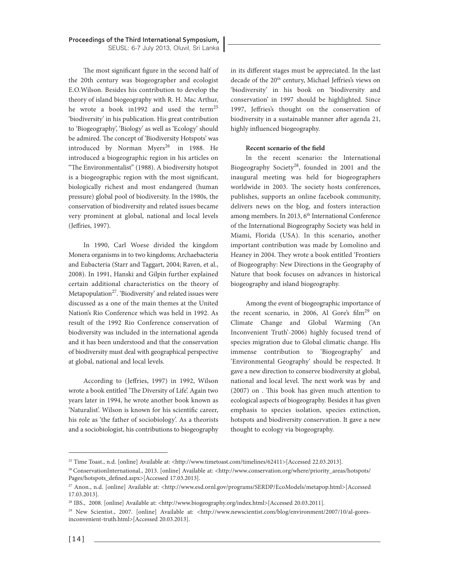The most significant figure in the second half of the 20th century was biogeographer and ecologist E.O.Wilson. Besides his contribution to develop the theory of island biogeography with R. H. Mac Arthur, he wrote a book in1992 and used the term<sup>25</sup> 'biodiversity' in his publication. His great contribution to 'Biogeography', 'Biology' as well as 'Ecology' should be admired. The concept of 'Biodiversity Hotspots' was introduced by Norman Myers<sup>26</sup> in 1988. He introduced a biogeographic region in his articles on "The Environmentalist" (1988). A biodiversity hotspot is a biogeographic region with the most significant, biologically richest and most endangered (human pressure) global pool of biodiversity. In the 1980s, the conservation of biodiversity and related issues became very prominent at global, national and local levels (Jeffries, 1997).

In 1990, Carl Woese divided the kingdom Monera organisms in to two kingdoms; Archaebacteria and Eubacteria (Starr and Taggart, 2004; Raven, et al., 2008). In 1991, Hanski and Gilpin further explained certain additional characteristics on the theory of Metapopulation<sup>27</sup>. 'Biodiversity' and related issues were discussed as a one of the main themes at the United Nation's Rio Conference which was held in 1992. As result of the 1992 Rio Conference conservation of biodiversity was included in the international agenda and it has been understood and that the conservation of biodiversity must deal with geographical perspective at global, national and local levels.

According to (Jeffries, 1997) in 1992, Wilson wrote a book entitled 'The Diversity of Life'. Again two years later in 1994, he wrote another book known as 'Naturalist'. Wilson is known for his scientific career, his role as 'the father of sociobiology'. As a theorists and a sociobiologist, his contributions to biogeography

in its different stages must be appreciated. In the last decade of the 20<sup>th</sup> century, Michael Jeffries's views on 'biodiversity' in his book on 'biodiversity and conservation' in 1997 should be highlighted. Since 1997, Jeffries's thought on the conservation of biodiversity in a sustainable manner after agenda 21, highly influenced biogeography.

#### **Recent scenario of the field**

In the recent scenario**:** the International Biogeography Society<sup>28</sup>, founded in 2001 and the inaugural meeting was held for biogeographers worldwide in 2003. The society hosts conferences, publishes, supports an online facebook community, delivers news on the blog, and fosters interaction among members. In 2013, 6<sup>th</sup> International Conference of the International Biogeography Society was held in Miami, Florida (USA). In this scenario**,** another important contribution was made by Lomolino and Heaney in 2004. They wrote a book entitled 'Frontiers of Biogeography: New Directions in the Geography of Nature that book focuses on advances in historical biogeography and island biogeography.

Among the event of biogeographic importance of the recent scenario, in 2006, Al Gore's  $film<sup>29</sup>$  on Climate Change and Global Warming ('An Inconvenient Truth'-2006) highly focused trend of species migration due to Global climatic change. His immense contribution to 'Biogeography' and 'Environmental Geography' should be respected. It gave a new direction to conserve biodiversity at global, national and local level. The next work was by and (2007) on . This book has given much attention to ecological aspects of biogeography. Besides it has given emphasis to species isolation, species extinction, hotspots and biodiversity conservation. It gave a new thought to ecology via biogeography.

<sup>&</sup>lt;sup>25</sup> Time Toast., n.d. [online] Available at: <http://www.timetoast.com/timelines/62411>[Accessed 22.03.2013].

<sup>&</sup>lt;sup>26</sup> ConservationInternational., 2013. [online] Available at: <http://www.conservation.org/where/priority\_areas/hotspots/ Pages/hotspots\_defined.aspx>[Accessed 17.03.2013].

<sup>27</sup> Anon., n.d. [online] Available at: <http://www.esd.ornl.gov/programs/SERDP/EcoModels/metapop.html>[Accessed 17.03.2013].

<sup>28</sup> IBS., 2008. [online] Available at: <http://www.biogeography.org/index.html>[Accessed 20.03.2011].

<sup>&</sup>lt;sup>29</sup> New Scientist., 2007. [online] Available at: <http://www.newscientist.com/blog/environment/2007/10/al-goresinconvenient-truth.html>[Accessed 20.03.2013].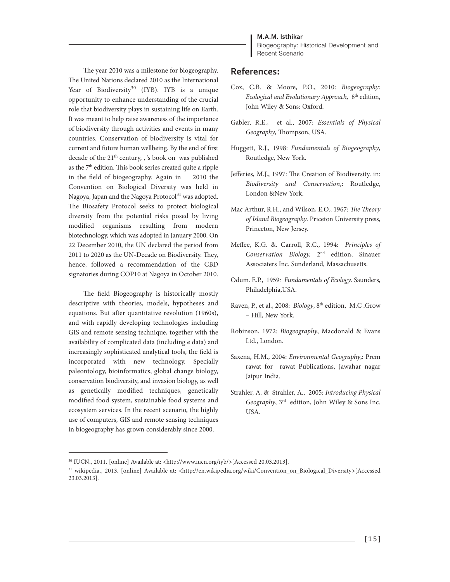#### **M.A.M. Isthikar**

Biogeography: Historical Development and Recent Scenario

The year 2010 was a milestone for biogeography. The United Nations declared 2010 as the International Year of Biodiversity<sup>30</sup> (IYB). IYB is a unique opportunity to enhance understanding of the crucial role that biodiversity plays in sustaining life on Earth. It was meant to help raise awareness of the importance of biodiversity through activities and events in many countries. Conservation of biodiversity is vital for current and future human wellbeing. By the end of first decade of the 21<sup>th</sup> century, , 's book on was published as the 7th edition. This book series created quite a ripple in the field of biogeography. Again in 2010 the Convention on Biological Diversity was held in Nagoya, Japan and the Nagoya Protocol<sup>31</sup> was adopted. The Biosafety Protocol seeks to protect biological diversity from the potential risks posed by living modified organisms resulting from modern biotechnology, which was adopted in January 2000. On 22 December 2010, the UN declared the period from 2011 to 2020 as the UN-Decade on Biodiversity. They, hence, followed a recommendation of the CBD signatories during COP10 at Nagoya in October 2010.

The field Biogeography is historically mostly descriptive with theories, models, hypotheses and equations. But after quantitative revolution (1960s), and with rapidly developing technologies including GIS and remote sensing technique, together with the availability of complicated data (including e data) and increasingly sophisticated analytical tools, the field is incorporated with new technology. Specially paleontology, bioinformatics, global change biology, conservation biodiversity, and invasion biology, as well as genetically modified techniques, genetically modified food system, sustainable food systems and ecosystem services. In the recent scenario, the highly use of computers, GIS and remote sensing techniques in biogeography has grown considerably since 2000.

#### **References:**

- Cox, C.B. & Moore, P.O., 2010: *Biogeography: Ecological and Evolutionary Approach,* 8th edition, John Wiley & Sons: Oxford.
- Gabler, R.E., et al., 2007: *Essentials of Physical Geography*, Thompson, USA.
- Huggett, R.J., 1998: *Fundamentals of Biogeography*, Routledge, New York.
- Jefferies, M.J., 1997: The Creation of Biodiversity. in: *Biodiversity and Conservation*,: Routledge, London &New York.
- Mac Arthur, R.H., and Wilson, E.O., 1967: *The Theory of Island Biogeography*. Priceton University press, Princeton, New Jersey.
- Meffee, K.G. &. Carroll, R.C., 1994: *Principles of Conservation Biology,* 2nd edition, Sinauer Associaters Inc. Sunderland, Massachusetts.
- Odum. E.P., 1959*: Fundamentals of Ecology*. Saunders, Philadelphia,USA.
- Raven, P., et al., 2008: *Biology*, 8<sup>th</sup> edition, M.C .Grow – Hill, New York.
- Robinson, 1972: *Biogeography*, Macdonald & Evans Ltd., London.
- Saxena, H.M., 2004: *Environmental Geography*,: Prem rawat for rawat Publications, Jawahar nagar Jaipur India.
- Strahler, A. & Strahler, A., 2005: *Introducing Physical Geography*, 3rd edition, John Wiley & Sons Inc. USA.

<sup>30</sup> IUCN., 2011. [online] Available at: <http://www.iucn.org/iyb/>[Accessed 20.03.2013].

<sup>31</sup> wikipedia., 2013. [online] Available at: <http://en.wikipedia.org/wiki/Convention\_on\_Biological\_Diversity>[Accessed 23.03.2013].